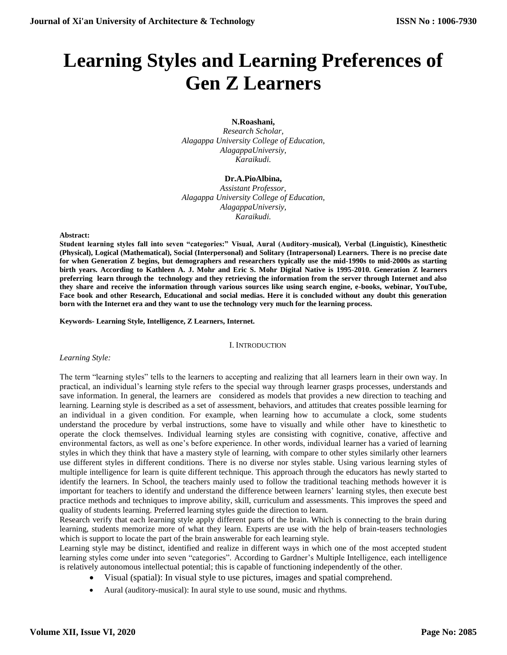# **Learning Styles and Learning Preferences of Gen Z Learners**

## **N.Roashani,**

*Research Scholar, Alagappa University College of Education, AlagappaUniversiy, Karaikudi.*

## **Dr.A.PioAlbina,**

*Assistant Professor, Alagappa University College of Education, AlagappaUniversiy, Karaikudi.*

#### **Abstract:**

**Student learning styles fall into seven "categories:" Visual, Aural (Auditory-musical), Verbal (Linguistic), Kinesthetic (Physical), Logical (Mathematical), Social (Interpersonal) and Solitary (Intrapersonal) Learners. There is no precise date for when Generation Z begins, but demographers and researchers typically use the mid-1990s to mid-2000s as starting birth years. According to Kathleen A. J. Mohr and Eric S. Mohr Digital Native is 1995-2010. Generation Z learners preferring learn through the technology and they retrieving the information from the server through Internet and also they share and receive the information through various sources like using search engine, e-books, webinar, YouTube, Face book and other Research, Educational and social medias. Here it is concluded without any doubt this generation born with the Internet era and they want to use the technology very much for the learning process.**

**Keywords- Learning Style, Intelligence, Z Learners, Internet.**

#### I. INTRODUCTION

#### *Learning Style:*

The term "learning styles" tells to the learners to accepting and realizing that all learners learn in their own way. In practical, an individual's learning style refers to the special way through learner grasps processes, understands and save information. In general, the learners are considered as models that provides a new direction to teaching and learning. Learning style is described as a set of assessment, behaviors, and attitudes that creates possible learning for an individual in a given condition. For example, when learning how to accumulate a clock, some students understand the procedure by verbal instructions, some have to visually and while other have to kinesthetic to operate the clock themselves. Individual learning styles are consisting with cognitive, conative, affective and environmental factors, as well as one's before experience. In other words, individual learner has a varied of learning styles in which they think that have a mastery style of learning, with compare to other styles similarly other learners use different styles in different conditions. There is no diverse nor styles stable. Using various learning styles of multiple intelligence for learn is quite different technique. This approach through the educators has newly started to identify the learners. In School, the teachers mainly used to follow the traditional teaching methods however it is important for teachers to identify and understand the difference between learners' learning styles, then execute best practice methods and techniques to improve ability, skill, curriculum and assessments. This improves the speed and quality of students learning. Preferred learning styles guide the direction to learn.

Research verify that each learning style apply different parts of the brain. Which is connecting to the brain during learning, students memorize more of what they learn. Experts are use with the help of brain-teasers technologies which is support to locate the part of the brain answerable for each learning style.

Learning style may be distinct, identified and realize in different ways in which one of the most accepted student learning styles come under into seven "categories". According to Gardner's Multiple Intelligence, each intelligence is relatively autonomous intellectual potential; this is capable of functioning independently of the other.

- Visual (spatial): In visual style to use pictures, images and spatial comprehend.
- Aural (auditory-musical): In aural style to use sound, music and rhythms.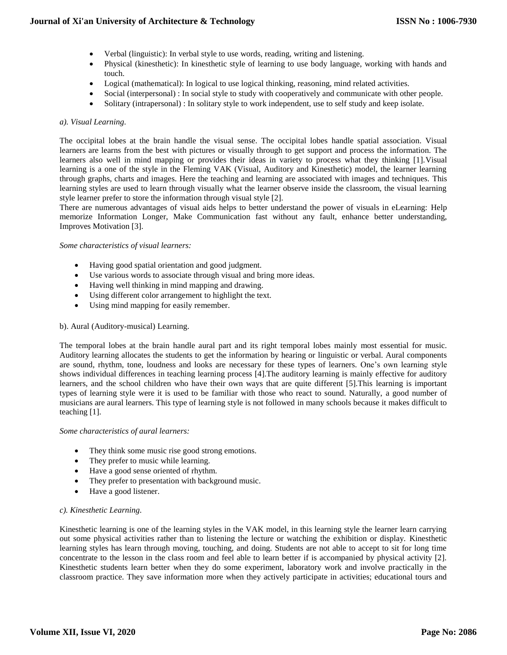- Verbal (linguistic): In verbal style to use words, reading, writing and listening.
- Physical (kinesthetic): In kinesthetic style of learning to use body language, working with hands and touch.
- Logical (mathematical): In logical to use logical thinking, reasoning, mind related activities.
- Social (interpersonal) : In social style to study with cooperatively and communicate with other people.
- Solitary (intrapersonal) : In solitary style to work independent, use to self study and keep isolate.

## *a). Visual Learning.*

The occipital lobes at the brain handle the visual sense. The occipital lobes handle spatial association. Visual learners are learns from the best with pictures or visually through to get support and process the information. The learners also well in mind mapping or provides their ideas in variety to process what they thinking [1].Visual learning is a one of the style in the Fleming VAK (Visual, Auditory and Kinesthetic) model, the learner learning through graphs, charts and images. Here the teaching and learning are associated with images and techniques. This learning styles are used to learn through visually what the learner observe inside the classroom, the visual learning style learner prefer to store the information through visual style [2].

There are numerous advantages of visual aids helps to better understand the power of visuals in eLearning: Help memorize Information Longer, Make Communication fast without any fault, enhance better understanding, Improves Motivation [3].

## *Some characteristics of visual learners:*

- Having good spatial orientation and good judgment.
- Use various words to associate through visual and bring more ideas.
- Having well thinking in mind mapping and drawing.
- Using different color arrangement to highlight the text.
- Using mind mapping for easily remember.

## b). Aural (Auditory-musical) Learning.

The temporal lobes at the brain handle aural part and its right temporal lobes mainly most essential for music. Auditory learning allocates the students to get the information by hearing or linguistic or verbal. Aural components are sound, rhythm, tone, loudness and looks are necessary for these types of learners. One's own learning style shows individual differences in teaching learning process [4].The auditory learning is mainly effective for auditory learners, and the school children who have their own ways that are quite different [5].This learning is important types of learning style were it is used to be familiar with those who react to sound. Naturally, a good number of musicians are aural learners. This type of learning style is not followed in many schools because it makes difficult to teaching [1].

## *Some characteristics of aural learners:*

- They think some music rise good strong emotions.
- They prefer to music while learning.
- Have a good sense oriented of rhythm.
- They prefer to presentation with background music.
- Have a good listener.

## *c). Kinesthetic Learning.*

Kinesthetic learning is one of the learning styles in the VAK model, in this learning style the learner learn carrying out some physical activities rather than to listening the lecture or watching the exhibition or display. Kinesthetic learning styles has learn through moving, touching, and doing. Students are not able to accept to sit for long time concentrate to the lesson in the class room and feel able to learn better if is accompanied by physical activity [2]. Kinesthetic students learn better when they do some experiment, laboratory work and involve practically in the classroom practice. They save information more when they actively participate in activities; educational tours and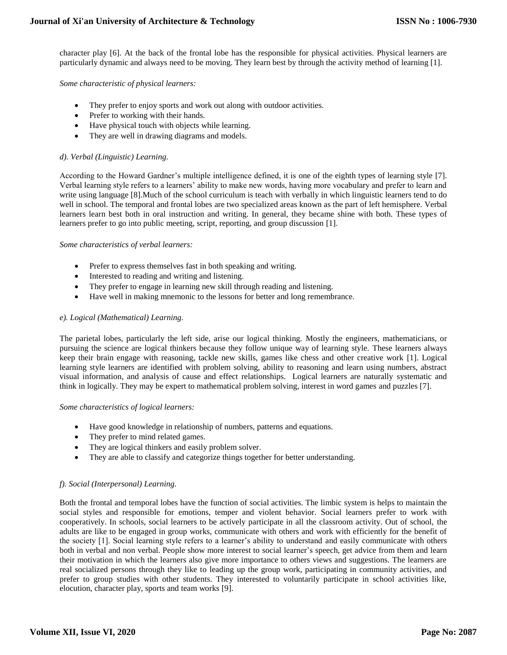character play [6]. At the back of the frontal lobe has the responsible for physical activities. Physical learners are particularly dynamic and always need to be moving. They learn best by through the activity method of learning [1].

*Some characteristic of physical learners:*

- They prefer to enjoy sports and work out along with outdoor activities.
- Prefer to working with their hands.
- Have physical touch with objects while learning.
- They are well in drawing diagrams and models.

## *d). Verbal (Linguistic) Learning.*

According to the Howard Gardner's multiple intelligence defined, it is one of the eighth types of learning style [7]. Verbal learning style refers to a learners' ability to make new words, having more vocabulary and prefer to learn and write using language [8].Much of the school curriculum is teach with verbally in which linguistic learners tend to do well in school. The temporal and frontal lobes are two specialized areas known as the part of left hemisphere. Verbal learners learn best both in oral instruction and writing. In general, they became shine with both. These types of learners prefer to go into public meeting, script, reporting, and group discussion [1].

#### *Some characteristics of verbal learners:*

- Prefer to express themselves fast in both speaking and writing.
- Interested to reading and writing and listening.
- They prefer to engage in learning new skill through reading and listening.
- Have well in making mnemonic to the lessons for better and long remembrance.

## *e). Logical (Mathematical) Learning.*

The parietal lobes, particularly the left side, arise our logical thinking. Mostly the engineers, mathematicians, or pursuing the science are logical thinkers because they follow unique way of learning style. These learners always keep their brain engage with reasoning, tackle new skills, games like chess and other creative work [1]. Logical learning style learners are identified with problem solving, ability to reasoning and learn using numbers, abstract visual information, and analysis of cause and effect relationships. Logical learners are naturally systematic and think in logically. They may be expert to mathematical problem solving, interest in word games and puzzles [7].

## *Some characteristics of logical learners:*

- Have good knowledge in relationship of numbers, patterns and equations.
- They prefer to mind related games.
- They are logical thinkers and easily problem solver.
- They are able to classify and categorize things together for better understanding.

## *f). Social (Interpersonal) Learning.*

Both the frontal and temporal lobes have the function of social activities. The limbic system is helps to maintain the social styles and responsible for emotions, temper and violent behavior. Social learners prefer to work with cooperatively. In schools, social learners to be actively participate in all the classroom activity. Out of school, the adults are like to be engaged in group works, communicate with others and work with efficiently for the benefit of the society [1]. Social learning style refers to a learner's ability to understand and easily communicate with others both in verbal and non verbal. People show more interest to social learner's speech, get advice from them and learn their motivation in which the learners also give more importance to others views and suggestions. The learners are real socialized persons through they like to leading up the group work, participating in community activities, and prefer to group studies with other students. They interested to voluntarily participate in school activities like, elocution, character play, sports and team works [9].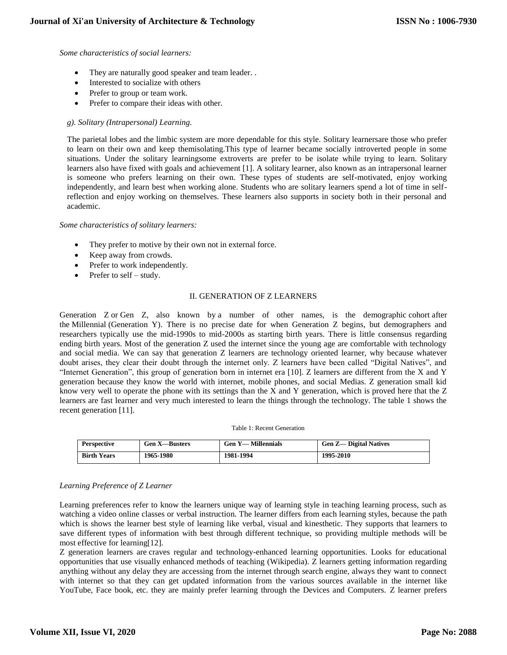*Some characteristics of social learners:*

- They are naturally good speaker and team leader. .
- Interested to socialize with others
- Prefer to group or team work.
- Prefer to compare their ideas with other.

## *g). Solitary (Intrapersonal) Learning.*

The parietal lobes and the limbic system are more dependable for this style. Solitary learnersare those who prefer to learn on their own and keep themisolating.This type of learner became socially introverted people in some situations. Under the solitary learningsome extroverts are prefer to be isolate while trying to learn. Solitary learners also have fixed with goals and achievement [1]. A solitary learner, also known as an intrapersonal learner is someone who prefers learning on their own. These types of students are self-motivated, enjoy working independently, and learn best when working alone. Students who are solitary learners spend a lot of time in selfreflection and enjoy working on themselves. These learners also supports in society both in their personal and academic.

#### *Some characteristics of solitary learners:*

- They prefer to motive by their own not in external force.
- Keep away from crowds.
- Prefer to work independently.
- Prefer to self study.

#### II. GENERATION OF Z LEARNERS

Generation Z or Gen Z, also known by a number of other names, is the demographic cohort after the Millennial (Generation Y). There is no precise date for when Generation Z begins, but demographers and researchers typically use the mid-1990s to mid-2000s as starting birth years. There is little consensus regarding ending birth years. Most of the generation Z used the internet since the young age are comfortable with technology and social media. We can say that generation Z learners are technology oriented learner, why because whatever doubt arises, they clear their doubt through the internet only. Z learners have been called "Digital Natives", and "Internet Generation", this group of generation born in internet era [10]. Z learners are different from the X and Y generation because they know the world with internet, mobile phones, and social Medias. Z generation small kid know very well to operate the phone with its settings than the X and Y generation, which is proved here that the Z learners are fast learner and very much interested to learn the things through the technology. The table 1 shows the recent generation [11].

| <b>Perspective</b> | <b>Gen X—Busters</b> | <b>Gen Y— Millennials</b> | <b>Gen Z— Digital Natives</b> |
|--------------------|----------------------|---------------------------|-------------------------------|
| <b>Birth Years</b> | 1965-1980            | 1981-1994                 | 1995-2010                     |

Table 1: Recent Generation

## *Learning Preference of Z Learner*

Learning preferences refer to know the learners unique way of learning style in teaching learning process, such as watching a video online classes or verbal instruction. The learner differs from each learning styles, because the path which is shows the learner best style of learning like verbal, visual and kinesthetic. They supports that learners to save different types of information with best through different technique, so providing multiple methods will be most effective for learning[12].

Z generation learners are craves regular and technology-enhanced learning opportunities. Looks for educational opportunities that use visually enhanced methods of teaching (Wikipedia). Z learners getting information regarding anything without any delay they are accessing from the internet through search engine, always they want to connect with internet so that they can get updated information from the various sources available in the internet like YouTube, Face book, etc. they are mainly prefer learning through the Devices and Computers. Z learner prefers